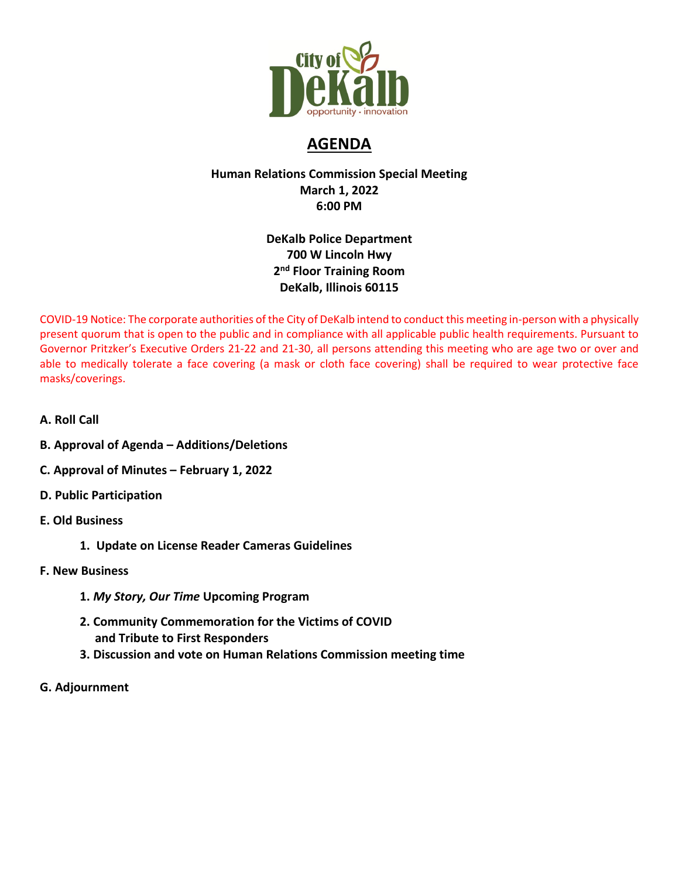

# **AGENDA**

# **Human Relations Commission Special Meeting March 1, 2022 6:00 PM**

# **DeKalb Police Department 700 W Lincoln Hwy 2nd Floor Training Room DeKalb, Illinois 60115**

COVID-19 Notice: The corporate authorities of the City of DeKalb intend to conduct this meeting in-person with a physically present quorum that is open to the public and in compliance with all applicable public health requirements. Pursuant to Governor Pritzker's Executive Orders 21-22 and 21-30, all persons attending this meeting who are age two or over and able to medically tolerate a face covering (a mask or cloth face covering) shall be required to wear protective face masks/coverings.

- **A. Roll Call**
- **B. Approval of Agenda – Additions/Deletions**
- **C. Approval of Minutes – February 1, 2022**
- **D. Public Participation**
- **E. Old Business** 
	- **1. Update on License Reader Cameras Guidelines**
- **F. New Business** 
	- **1.** *My Story, Our Time* **Upcoming Program**
	- **2. Community Commemoration for the Victims of COVID and Tribute to First Responders**
	- **3. Discussion and vote on Human Relations Commission meeting time**
- **G. Adjournment**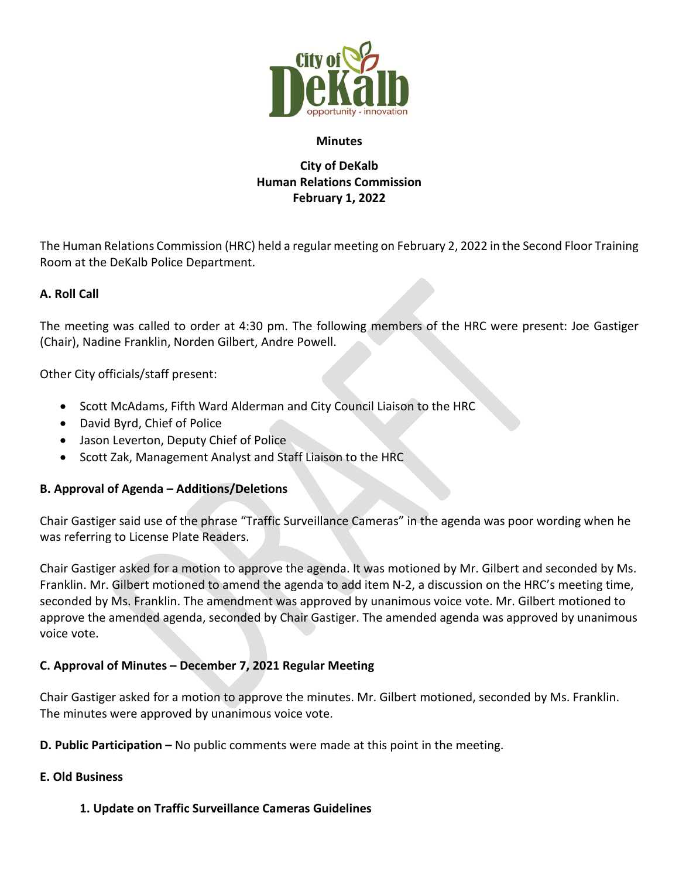

#### **Minutes**

# **City of DeKalb Human Relations Commission February 1, 2022**

The Human Relations Commission (HRC) held a regular meeting on February 2, 2022 in the Second Floor Training Room at the DeKalb Police Department.

#### **A. Roll Call**

The meeting was called to order at 4:30 pm. The following members of the HRC were present: Joe Gastiger (Chair), Nadine Franklin, Norden Gilbert, Andre Powell.

Other City officials/staff present:

- Scott McAdams, Fifth Ward Alderman and City Council Liaison to the HRC
- David Byrd, Chief of Police
- Jason Leverton, Deputy Chief of Police
- Scott Zak, Management Analyst and Staff Liaison to the HRC

### **B. Approval of Agenda – Additions/Deletions**

Chair Gastiger said use of the phrase "Traffic Surveillance Cameras" in the agenda was poor wording when he was referring to License Plate Readers.

Chair Gastiger asked for a motion to approve the agenda. It was motioned by Mr. Gilbert and seconded by Ms. Franklin. Mr. Gilbert motioned to amend the agenda to add item N-2, a discussion on the HRC's meeting time, seconded by Ms. Franklin. The amendment was approved by unanimous voice vote. Mr. Gilbert motioned to approve the amended agenda, seconded by Chair Gastiger. The amended agenda was approved by unanimous voice vote.

### **C. Approval of Minutes – December 7, 2021 Regular Meeting**

Chair Gastiger asked for a motion to approve the minutes. Mr. Gilbert motioned, seconded by Ms. Franklin. The minutes were approved by unanimous voice vote.

**D. Public Participation –** No public comments were made at this point in the meeting.

#### **E. Old Business**

**1. Update on Traffic Surveillance Cameras Guidelines**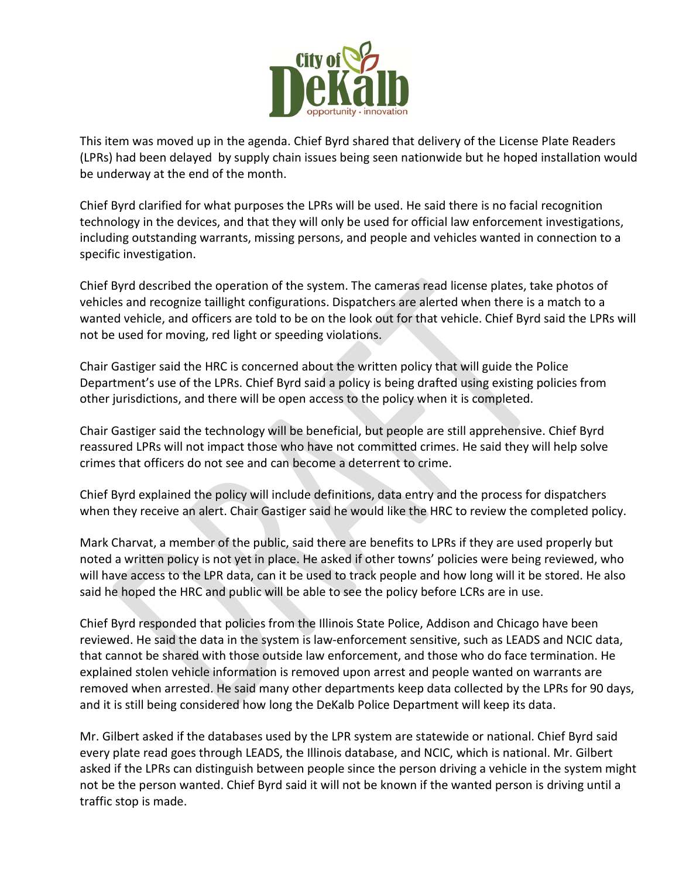

This item was moved up in the agenda. Chief Byrd shared that delivery of the License Plate Readers (LPRs) had been delayed by supply chain issues being seen nationwide but he hoped installation would be underway at the end of the month.

Chief Byrd clarified for what purposes the LPRs will be used. He said there is no facial recognition technology in the devices, and that they will only be used for official law enforcement investigations, including outstanding warrants, missing persons, and people and vehicles wanted in connection to a specific investigation.

Chief Byrd described the operation of the system. The cameras read license plates, take photos of vehicles and recognize taillight configurations. Dispatchers are alerted when there is a match to a wanted vehicle, and officers are told to be on the look out for that vehicle. Chief Byrd said the LPRs will not be used for moving, red light or speeding violations.

Chair Gastiger said the HRC is concerned about the written policy that will guide the Police Department's use of the LPRs. Chief Byrd said a policy is being drafted using existing policies from other jurisdictions, and there will be open access to the policy when it is completed.

Chair Gastiger said the technology will be beneficial, but people are still apprehensive. Chief Byrd reassured LPRs will not impact those who have not committed crimes. He said they will help solve crimes that officers do not see and can become a deterrent to crime.

Chief Byrd explained the policy will include definitions, data entry and the process for dispatchers when they receive an alert. Chair Gastiger said he would like the HRC to review the completed policy.

Mark Charvat, a member of the public, said there are benefits to LPRs if they are used properly but noted a written policy is not yet in place. He asked if other towns' policies were being reviewed, who will have access to the LPR data, can it be used to track people and how long will it be stored. He also said he hoped the HRC and public will be able to see the policy before LCRs are in use.

Chief Byrd responded that policies from the Illinois State Police, Addison and Chicago have been reviewed. He said the data in the system is law-enforcement sensitive, such as LEADS and NCIC data, that cannot be shared with those outside law enforcement, and those who do face termination. He explained stolen vehicle information is removed upon arrest and people wanted on warrants are removed when arrested. He said many other departments keep data collected by the LPRs for 90 days, and it is still being considered how long the DeKalb Police Department will keep its data.

Mr. Gilbert asked if the databases used by the LPR system are statewide or national. Chief Byrd said every plate read goes through LEADS, the Illinois database, and NCIC, which is national. Mr. Gilbert asked if the LPRs can distinguish between people since the person driving a vehicle in the system might not be the person wanted. Chief Byrd said it will not be known if the wanted person is driving until a traffic stop is made.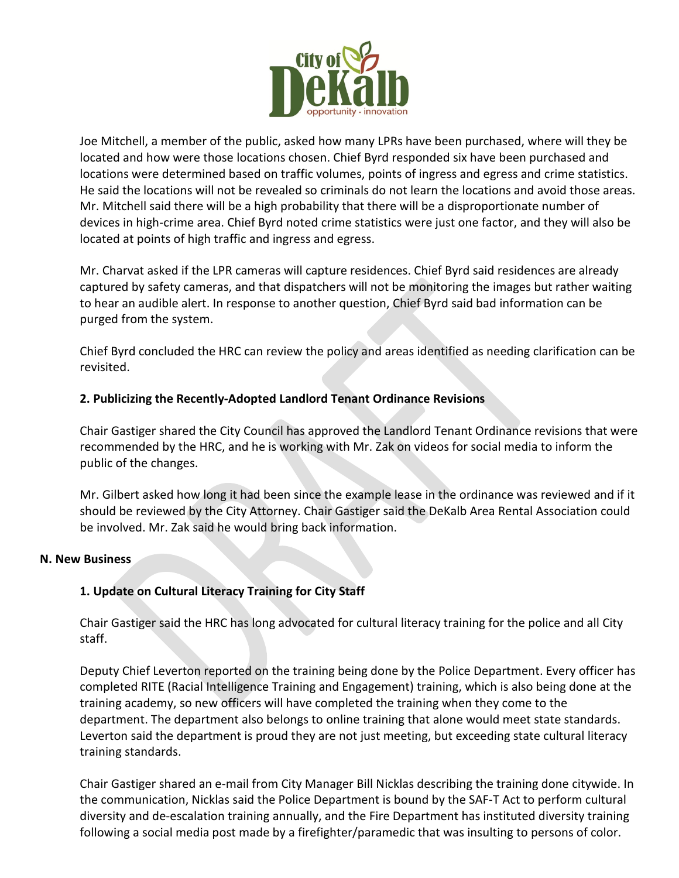

Joe Mitchell, a member of the public, asked how many LPRs have been purchased, where will they be located and how were those locations chosen. Chief Byrd responded six have been purchased and locations were determined based on traffic volumes, points of ingress and egress and crime statistics. He said the locations will not be revealed so criminals do not learn the locations and avoid those areas. Mr. Mitchell said there will be a high probability that there will be a disproportionate number of devices in high-crime area. Chief Byrd noted crime statistics were just one factor, and they will also be located at points of high traffic and ingress and egress.

Mr. Charvat asked if the LPR cameras will capture residences. Chief Byrd said residences are already captured by safety cameras, and that dispatchers will not be monitoring the images but rather waiting to hear an audible alert. In response to another question, Chief Byrd said bad information can be purged from the system.

Chief Byrd concluded the HRC can review the policy and areas identified as needing clarification can be revisited.

## **2. Publicizing the Recently-Adopted Landlord Tenant Ordinance Revisions**

Chair Gastiger shared the City Council has approved the Landlord Tenant Ordinance revisions that were recommended by the HRC, and he is working with Mr. Zak on videos for social media to inform the public of the changes.

Mr. Gilbert asked how long it had been since the example lease in the ordinance was reviewed and if it should be reviewed by the City Attorney. Chair Gastiger said the DeKalb Area Rental Association could be involved. Mr. Zak said he would bring back information.

### **N. New Business**

# **1. Update on Cultural Literacy Training for City Staff**

Chair Gastiger said the HRC has long advocated for cultural literacy training for the police and all City staff.

Deputy Chief Leverton reported on the training being done by the Police Department. Every officer has completed RITE (Racial Intelligence Training and Engagement) training, which is also being done at the training academy, so new officers will have completed the training when they come to the department. The department also belongs to online training that alone would meet state standards. Leverton said the department is proud they are not just meeting, but exceeding state cultural literacy training standards.

Chair Gastiger shared an e-mail from City Manager Bill Nicklas describing the training done citywide. In the communication, Nicklas said the Police Department is bound by the SAF-T Act to perform cultural diversity and de-escalation training annually, and the Fire Department has instituted diversity training following a social media post made by a firefighter/paramedic that was insulting to persons of color.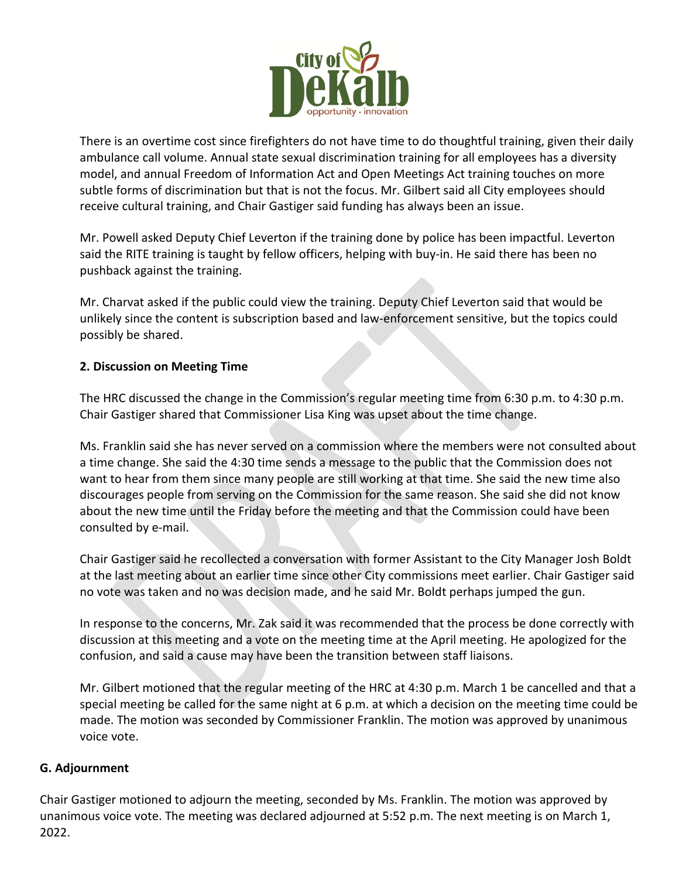

There is an overtime cost since firefighters do not have time to do thoughtful training, given their daily ambulance call volume. Annual state sexual discrimination training for all employees has a diversity model, and annual Freedom of Information Act and Open Meetings Act training touches on more subtle forms of discrimination but that is not the focus. Mr. Gilbert said all City employees should receive cultural training, and Chair Gastiger said funding has always been an issue.

Mr. Powell asked Deputy Chief Leverton if the training done by police has been impactful. Leverton said the RITE training is taught by fellow officers, helping with buy-in. He said there has been no pushback against the training.

Mr. Charvat asked if the public could view the training. Deputy Chief Leverton said that would be unlikely since the content is subscription based and law-enforcement sensitive, but the topics could possibly be shared.

### **2. Discussion on Meeting Time**

The HRC discussed the change in the Commission's regular meeting time from 6:30 p.m. to 4:30 p.m. Chair Gastiger shared that Commissioner Lisa King was upset about the time change.

Ms. Franklin said she has never served on a commission where the members were not consulted about a time change. She said the 4:30 time sends a message to the public that the Commission does not want to hear from them since many people are still working at that time. She said the new time also discourages people from serving on the Commission for the same reason. She said she did not know about the new time until the Friday before the meeting and that the Commission could have been consulted by e-mail.

Chair Gastiger said he recollected a conversation with former Assistant to the City Manager Josh Boldt at the last meeting about an earlier time since other City commissions meet earlier. Chair Gastiger said no vote was taken and no was decision made, and he said Mr. Boldt perhaps jumped the gun.

In response to the concerns, Mr. Zak said it was recommended that the process be done correctly with discussion at this meeting and a vote on the meeting time at the April meeting. He apologized for the confusion, and said a cause may have been the transition between staff liaisons.

Mr. Gilbert motioned that the regular meeting of the HRC at 4:30 p.m. March 1 be cancelled and that a special meeting be called for the same night at 6 p.m. at which a decision on the meeting time could be made. The motion was seconded by Commissioner Franklin. The motion was approved by unanimous voice vote.

### **G. Adjournment**

Chair Gastiger motioned to adjourn the meeting, seconded by Ms. Franklin. The motion was approved by unanimous voice vote. The meeting was declared adjourned at 5:52 p.m. The next meeting is on March 1, 2022.